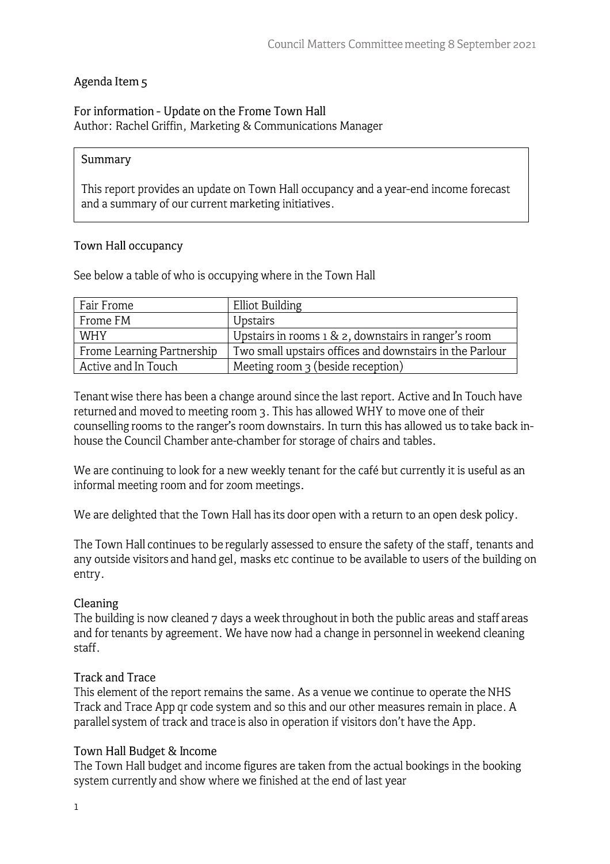# Agenda Item 5

#### For information - Update on the Frome Town Hall Author: Rachel Griffin, Marketing & Communications Manager

#### **Summary**

This report provides an update on Town Hall occupancy and a year-end income forecast and a summary of our current marketing initiatives.

## **Town Hall occupancy**

See below a table of who is occupying where in the Town Hall

| Fair Frome                 | Elliot Building                                          |  |
|----------------------------|----------------------------------------------------------|--|
| Frome FM                   | <b>Upstairs</b>                                          |  |
| <b>WHY</b>                 | Upstairs in rooms $1 \& 2$ , downstairs in ranger's room |  |
| Frome Learning Partnership | Two small upstairs offices and downstairs in the Parlour |  |
| Active and In Touch        | Meeting room $\frac{1}{3}$ (beside reception)            |  |

Tenant wise there has been a change around since the last report. Active and In Touch have returned and moved to meeting room 3. This has allowed WHY to move one of their counselling rooms to the ranger's room downstairs. In tum this has allowed us to take back inhouse the Council Chamber ante-chamber for storage of chairs and tables.

We are continuing to look for a new weekly tenant for the café but currently it is useful as an informal meeting room and for zoom meetings.

We are delighted that the Town Hall has its door open with a return to an open desk policy.

The Town Hall continues to be regularly assessed to ensure the safety of the staff, tenants and any outside visitors and hand gel, masks etc continue to be available to users of the building on entry.

## **Cleaning**

The building is now cleaned 7 days a week throughout in both the public areas and staff areas and for tenants by agreement. We have now had a change in personnel in weekend cleaning staff.

#### **Track and Trace**

This element of the report remains the same. As a venue we continue to operate the NHS Track and Trace App qr code system and so this and our other measures remain in place. A parallel system of track and trace is also in operation if visitors don't have the App.

## **Town Hall Budget** & **Income**

The Town Hall budget and income figures are taken from the actual bookings in the booking system currently and show where we finished at the end of last year